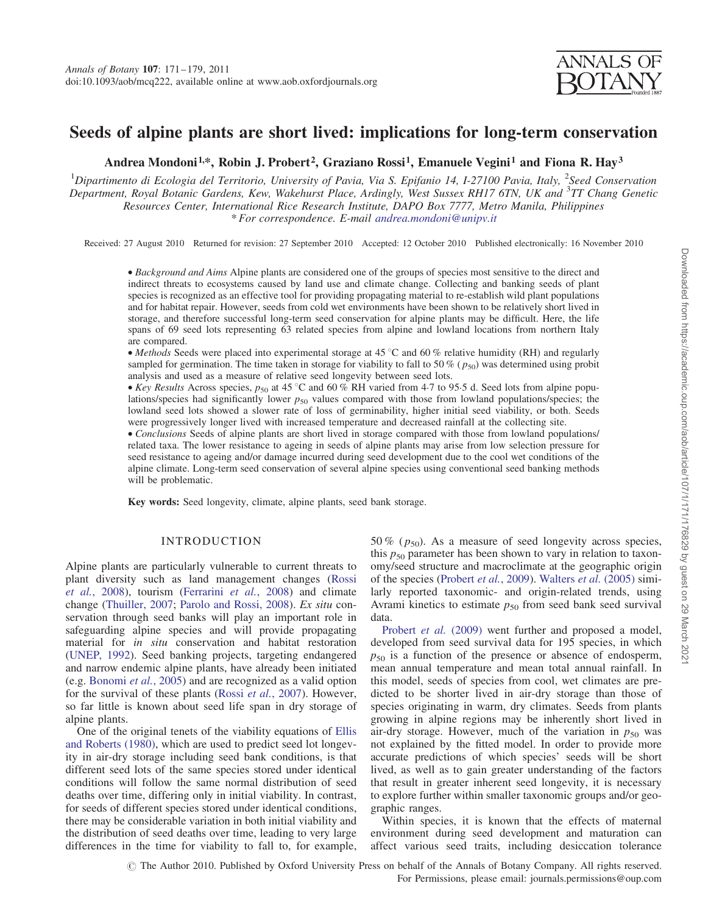# Seeds of alpine plants are short lived: implications for long-term conservation

Andrea Mondoni<sup>1,\*</sup>, Robin J. Probert<sup>2</sup>, Graziano Rossi<sup>1</sup>, Emanuele Vegini<sup>1</sup> and Fiona R. Hay<sup>3</sup>

<sup>1</sup>Dipartimento di Ecologia del Territorio, University of Pavia, Via S. Epifanio 14, I-27100 Pavia, Italy, <sup>2</sup>Seed Conservation Department, Royal Botanic Gardens, Kew, Wakehurst Place, Ardingly, West Sussex RH17 6TN, UK and <sup>3</sup>TT Chang Genetic Resources Center, International Rice Research Institute, DAPO Box 7777, Metro Manila, Philippines \* For correspondence. E-mail [andrea.mondoni@unipv.it](mailto:andrea.mondoni@unipv.it)

Received: 27 August 2010 Returned for revision: 27 September 2010 Accepted: 12 October 2010 Published electronically: 16 November 2010

† Background and Aims Alpine plants are considered one of the groups of species most sensitive to the direct and indirect threats to ecosystems caused by land use and climate change. Collecting and banking seeds of plant species is recognized as an effective tool for providing propagating material to re-establish wild plant populations and for habitat repair. However, seeds from cold wet environments have been shown to be relatively short lived in storage, and therefore successful long-term seed conservation for alpine plants may be difficult. Here, the life spans of 69 seed lots representing 63 related species from alpine and lowland locations from northern Italy are compared.

• Methods Seeds were placed into experimental storage at 45 °C and 60 % relative humidity (RH) and regularly sampled for germination. The time taken in storage for viability to fall to 50 % ( $p_{50}$ ) was determined using probit analysis and used as a measure of relative seed longevity between seed lots.

• Key Results Across species,  $p_{50}$  at 45 °C and 60 % RH varied from 4.7 to 95.5 d. Seed lots from alpine populations/species had significantly lower  $p_{50}$  values compared with those from lowland populations/species; the lowland seed lots showed a slower rate of loss of germinability, higher initial seed viability, or both. Seeds were progressively longer lived with increased temperature and decreased rainfall at the collecting site.

†Conclusions Seeds of alpine plants are short lived in storage compared with those from lowland populations/ related taxa. The lower resistance to ageing in seeds of alpine plants may arise from low selection pressure for seed resistance to ageing and/or damage incurred during seed development due to the cool wet conditions of the alpine climate. Long-term seed conservation of several alpine species using conventional seed banking methods will be problematic.

Key words: Seed longevity, climate, alpine plants, seed bank storage.

## INTRODUCTION

Alpine plants are particularly vulnerable to current threats to plant diversity such as land management changes ([Rossi](#page-8-0) et al.[, 2008\)](#page-8-0), tourism ([Ferrarini](#page-8-0) et al., 2008) and climate change ([Thuiller, 2007;](#page-8-0) [Parolo and Rossi, 2008](#page-8-0)). Ex situ conservation through seed banks will play an important role in safeguarding alpine species and will provide propagating material for in situ conservation and habitat restoration [\(UNEP, 1992\)](#page-8-0). Seed banking projects, targeting endangered and narrow endemic alpine plants, have already been initiated (e.g. [Bonomi](#page-8-0) et al., 2005) and are recognized as a valid option for the survival of these plants (Rossi et al.[, 2007](#page-8-0)). However, so far little is known about seed life span in dry storage of alpine plants.

One of the original tenets of the viability equations of [Ellis](#page-8-0) [and Roberts \(1980\)](#page-8-0), which are used to predict seed lot longevity in air-dry storage including seed bank conditions, is that different seed lots of the same species stored under identical conditions will follow the same normal distribution of seed deaths over time, differing only in initial viability. In contrast, for seeds of different species stored under identical conditions, there may be considerable variation in both initial viability and the distribution of seed deaths over time, leading to very large differences in the time for viability to fall to, for example,

50 % ( $p_{50}$ ). As a measure of seed longevity across species, this  $p_{50}$  parameter has been shown to vary in relation to taxonomy/seed structure and macroclimate at the geographic origin of the species [\(Probert](#page-8-0) et al., 2009). [Walters](#page-8-0) et al. (2005) similarly reported taxonomic- and origin-related trends, using Avrami kinetics to estimate  $p_{50}$  from seed bank seed survival data.

[Probert](#page-8-0) et al. (2009) went further and proposed a model, developed from seed survival data for 195 species, in which  $p_{50}$  is a function of the presence or absence of endosperm, mean annual temperature and mean total annual rainfall. In this model, seeds of species from cool, wet climates are predicted to be shorter lived in air-dry storage than those of species originating in warm, dry climates. Seeds from plants growing in alpine regions may be inherently short lived in air-dry storage. However, much of the variation in  $p_{50}$  was not explained by the fitted model. In order to provide more accurate predictions of which species' seeds will be short lived, as well as to gain greater understanding of the factors that result in greater inherent seed longevity, it is necessary to explore further within smaller taxonomic groups and/or geographic ranges.

Within species, it is known that the effects of maternal environment during seed development and maturation can affect various seed traits, including desiccation tolerance

# The Author 2010. Published by Oxford University Press on behalf of the Annals of Botany Company. All rights reserved. For Permissions, please email: journals.permissions@oup.com

**ANNALS OF BOTANY**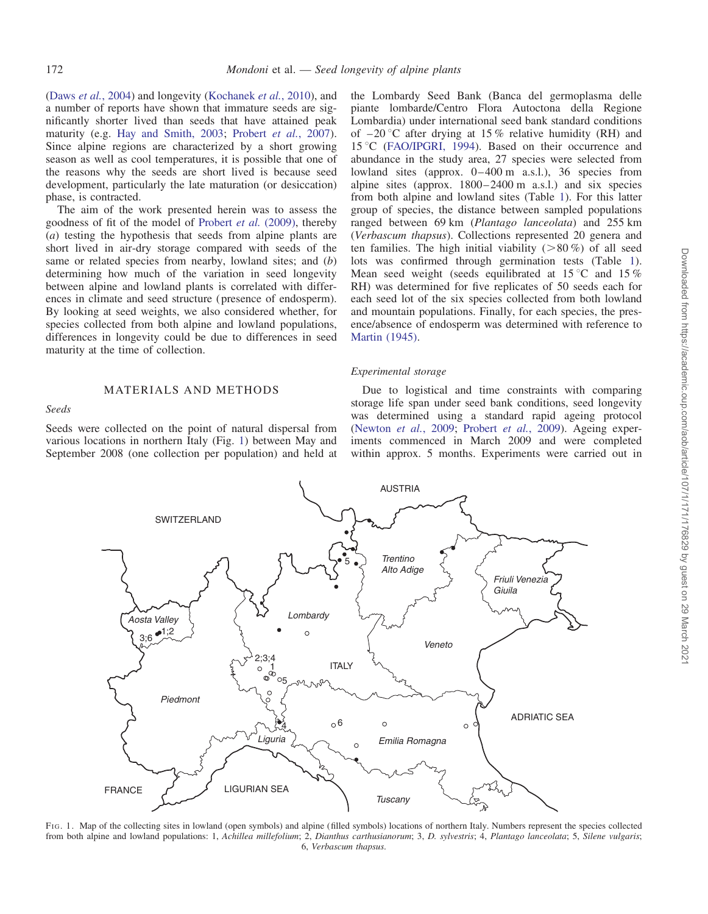(Daws et al.[, 2004](#page-8-0)) and longevity [\(Kochanek](#page-8-0) et al., 2010), and a number of reports have shown that immature seeds are significantly shorter lived than seeds that have attained peak maturity (e.g. [Hay and Smith, 2003;](#page-8-0) [Probert](#page-8-0) et al., 2007). Since alpine regions are characterized by a short growing season as well as cool temperatures, it is possible that one of the reasons why the seeds are short lived is because seed development, particularly the late maturation (or desiccation) phase, is contracted.

The aim of the work presented herein was to assess the goodness of fit of the model of [Probert](#page-8-0) et al. (2009), thereby (a) testing the hypothesis that seeds from alpine plants are short lived in air-dry storage compared with seeds of the same or related species from nearby, lowland sites; and  $(b)$ determining how much of the variation in seed longevity between alpine and lowland plants is correlated with differences in climate and seed structure (presence of endosperm). By looking at seed weights, we also considered whether, for species collected from both alpine and lowland populations, differences in longevity could be due to differences in seed maturity at the time of collection.

## MATERIALS AND METHODS

Seeds

Seeds were collected on the point of natural dispersal from various locations in northern Italy (Fig. 1) between May and September 2008 (one collection per population) and held at the Lombardy Seed Bank (Banca del germoplasma delle piante lombarde/Centro Flora Autoctona della Regione Lombardia) under international seed bank standard conditions of  $-20$  °C after drying at 15% relative humidity (RH) and 15 °C ([FAO/IPGRI, 1994](#page-8-0)). Based on their occurrence and abundance in the study area, 27 species were selected from lowland sites (approx.  $0-400 \text{ m}$  a.s.l.), 36 species from alpine sites (approx. 1800–2400 m a.s.l.) and six species from both alpine and lowland sites (Table [1\)](#page-2-0). For this latter group of species, the distance between sampled populations ranged between 69 km (Plantago lanceolata) and 255 km (Verbascum thapsus). Collections represented 20 genera and ten families. The high initial viability ( $>80\%$ ) of all seed lots was confirmed through germination tests (Table [1\)](#page-2-0). Mean seed weight (seeds equilibrated at  $15^{\circ}$ C and  $15\%$ RH) was determined for five replicates of 50 seeds each for each seed lot of the six species collected from both lowland and mountain populations. Finally, for each species, the presence/absence of endosperm was determined with reference to [Martin \(1945\).](#page-8-0)

#### Experimental storage

Due to logistical and time constraints with comparing storage life span under seed bank conditions, seed longevity was determined using a standard rapid ageing protocol ([Newton](#page-8-0) et al., 2009; [Probert](#page-8-0) et al., 2009). Ageing experiments commenced in March 2009 and were completed within approx. 5 months. Experiments were carried out in



FIG. 1. Map of the collecting sites in lowland (open symbols) and alpine (filled symbols) locations of northern Italy. Numbers represent the species collected from both alpine and lowland populations: 1, Achillea millefolium; 2, Dianthus carthusianorum; 3, D. sylvestris; 4, Plantago lanceolata; 5, Silene vulgaris; 6, Verbascum thapsus.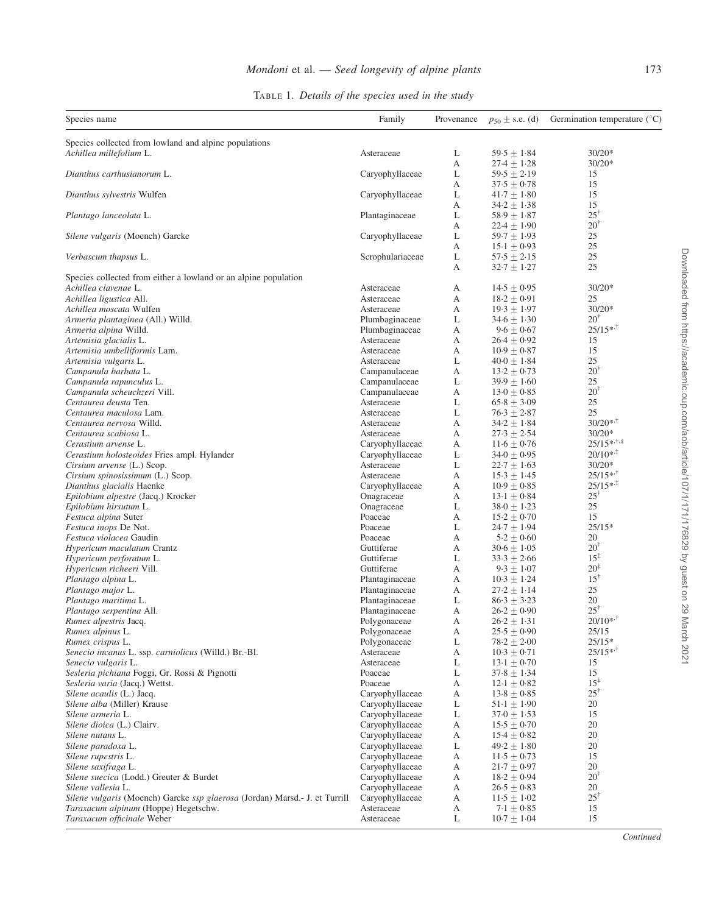## Mondoni et al. — Seed longevity of alpine plants 173

<span id="page-2-0"></span>

| Species name                                                                | Family                             | Provenance | $p_{50} \pm$ s.e. (d)              | Germination temperature $(^{\circ}C)$ |
|-----------------------------------------------------------------------------|------------------------------------|------------|------------------------------------|---------------------------------------|
| Species collected from lowland and alpine populations                       |                                    |            |                                    |                                       |
| Achillea millefolium L.                                                     | Asteraceae                         | L          | $59.5 \pm 1.84$                    | $30/20*$                              |
|                                                                             |                                    | А          | $27.4 \pm 1.28$                    | $30/20*$                              |
| Dianthus carthusianorum L.                                                  | Caryophyllaceae                    | L          | $59.5 \pm 2.19$                    | 15                                    |
|                                                                             |                                    | А          | $37.5 \pm 0.78$                    | 15                                    |
| Dianthus sylvestris Wulfen                                                  | Caryophyllaceae                    | L          | $41.7 \pm 1.80$                    | 15                                    |
|                                                                             |                                    | А          | $34.2 \pm 1.38$                    | 15                                    |
| Plantago lanceolata L.                                                      | Plantaginaceae                     | L<br>А     | $58.9 \pm 1.87$<br>$22.4 + 1.90$   | $25^{\dagger}$<br>$20^{\dagger}$      |
| Silene vulgaris (Moench) Garcke                                             | Caryophyllaceae                    | L          | $59.7 \pm 1.93$                    | 25                                    |
|                                                                             |                                    | А          | $15.1 \pm 0.93$                    | 25                                    |
| Verbascum thapsus L.                                                        | Scrophulariaceae                   | L          | $57.5 \pm 2.15$                    | 25                                    |
|                                                                             |                                    | А          | $32.7 \pm 1.27$                    | 25                                    |
| Species collected from either a lowland or an alpine population             |                                    |            |                                    |                                       |
| Achillea clavenae L.                                                        | Asteraceae                         | А          | $14.5 \pm 0.95$                    | $30/20*$                              |
| Achillea ligustica All.                                                     | Asteraceae                         | А          | $18.2 \pm 0.91$                    | 25                                    |
| Achillea moscata Wulfen                                                     | Asteraceae                         | А          | $19.3 \pm 1.97$                    | $30/20*$                              |
| Armeria plantaginea (All.) Willd.                                           | Plumbaginaceae                     | L          | $34.6 \pm 1.30$                    | $20^{\dagger}$                        |
| Armeria alpina Willd.                                                       | Plumbaginaceae                     | А          | $9.6 \pm 0.67$                     | $25/15**$                             |
| Artemisia glacialis L.                                                      | Asteraceae                         | А          | $26.4 \pm 0.92$                    | 15                                    |
| Artemisia umbelliformis Lam.<br>Artemisia vulgaris L.                       | Asteraceae<br>Asteraceae           | А<br>L     | $10.9 \pm 0.87$<br>$40.0 + 1.84$   | 15<br>25                              |
| Campanula barbata L.                                                        | Campanulaceae                      | А          | $13.2 \pm 0.73$                    | $20^{\dagger}$                        |
| Campanula rapunculus L.                                                     | Campanulaceae                      | L          | $39.9 \pm 1.60$                    | 25                                    |
| Campanula scheuchzeri Vill.                                                 | Campanulaceae                      | А          | $13.0 \pm 0.85$                    | $20^{\dagger}$                        |
| Centaurea deusta Ten.                                                       | Asteraceae                         | L          | $65.8 \pm 3.09$                    | 25                                    |
| Centaurea maculosa Lam.                                                     | Asteraceae                         | L          | $76.3 \pm 2.87$                    | 25                                    |
| Centaurea nervosa Willd.                                                    | Asteraceae                         | А          | $34.2 \pm 1.84$                    | $30/20**$                             |
| Centaurea scabiosa L.                                                       | Asteraceae                         | А          | $27.3 \pm 2.54$                    | $30/20*$                              |
| Cerastium arvense L.                                                        | Caryophyllaceae                    | А          | $11.6 \pm 0.76$                    | $25/15$ ****                          |
| Cerastium holosteoides Fries ampl. Hylander                                 | Caryophyllaceae                    | L          | $34.0 \pm 0.95$                    | $20/10**$                             |
| Cirsium arvense (L.) Scop.                                                  | Asteraceae                         | L          | $22.7 \pm 1.63$                    | $30/20*$                              |
| Cirsium spinosissimum (L.) Scop.                                            | Asteraceae                         | А          | $15.3 \pm 1.45$                    | $25/15**$                             |
| Dianthus glacialis Haenke                                                   | Caryophyllaceae                    | А<br>А     | $10.9 \pm 0.85$<br>$13.1 \pm 0.84$ | $25/15***$<br>$25^{\dagger}$          |
| Epilobium alpestre (Jacq.) Krocker<br>Epilobium hirsutum L.                 | Onagraceae<br>Onagraceae           | L          | $38.0 \pm 1.23$                    | 25                                    |
| Festuca alpina Suter                                                        | Poaceae                            | А          | $15.2 \pm 0.70$                    | 15                                    |
| Festuca inops De Not.                                                       | Poaceae                            | L          | $24.7 \pm 1.94$                    | $25/15*$                              |
| <i>Festuca violacea</i> Gaudin                                              | Poaceae                            | А          | $5.2 \pm 0.60$                     | 20                                    |
| Hypericum maculatum Crantz                                                  | Guttiferae                         | А          | $30.6 \pm 1.05$                    | $20^{\dagger}$                        |
| Hypericum perforatum L.                                                     | Guttiferae                         | L          | $33.3 \pm 2.66$                    | $15^{\ddagger}$                       |
| Hypericum richeeri Vill.                                                    | Guttiferae                         | А          | $9.3 \pm 1.07$                     | $20^{\ddagger}$                       |
| Plantago alpina L.                                                          | Plantaginaceae                     | А          | $10.3 \pm 1.24$                    | $15^{\dagger}$                        |
| Plantago major L.                                                           | Plantaginaceae                     | А          | $27.2 \pm 1.14$                    | 25                                    |
| Plantago maritima L.                                                        | Plantaginaceae                     | L          | $86.3 \pm 3.23$                    | 20                                    |
| Plantago serpentina All.                                                    | Plantaginaceae                     | А<br>А     | $26.2 \pm 0.90$<br>$26.2 \pm 1.31$ | $25^{\dagger}$<br>$20/10**$           |
| Rumex alpestris Jacq.                                                       | Polygonaceae                       | А          | $25.5 \pm 0.90$                    | 25/15                                 |
| Rumex alpinus L.<br>Rumex crispus L.                                        | Polygonaceae<br>Polygonaceae       | L          | $78.2 \pm 2.00$                    | 25/15*                                |
| Senecio incanus L. ssp. carniolicus (Willd.) Br.-Bl.                        | Asteraceae                         | А          | $10.3 \pm 0.71$                    | $25/15**$                             |
| Senecio vulgaris L.                                                         | Asteraceae                         | L          | $13.1 \pm 0.70$                    | 15                                    |
| Sesleria pichiana Foggi, Gr. Rossi & Pignotti                               | Poaceae                            | L          | $37.8 \pm 1.34$                    | 15                                    |
| Sesleria varia (Jacq.) Wettst.                                              | Poaceae                            | А          | $12.1 \pm 0.82$                    | $15^{\ddagger}$                       |
| Silene acaulis (L.) Jacq.                                                   | Caryophyllaceae                    | А          | $13.8 \pm 0.85$                    | $25^{\dagger}$                        |
| Silene alba (Miller) Krause                                                 | Caryophyllaceae                    | L          | $51.1 \pm 1.90$                    | 20                                    |
| Silene armeria L.                                                           | Caryophyllaceae                    | L          | $37.0 \pm 1.53$                    | 15                                    |
| Silene dioica (L.) Clairv.                                                  | Caryophyllaceae                    | А          | $15.5 + 0.70$                      | 20                                    |
| Silene nutans L.                                                            | Caryophyllaceae                    | А          | $15.4 \pm 0.82$                    | 20                                    |
| Silene paradoxa L.                                                          | Caryophyllaceae                    | L          | $49.2 \pm 1.80$                    | 20                                    |
| Silene rupestris L.                                                         | Caryophyllaceae                    | А          | $11.5 + 0.73$                      | 15<br>20                              |
| Silene saxifraga L.<br>Silene suecica (Lodd.) Greuter & Burdet              | Caryophyllaceae<br>Caryophyllaceae | А<br>А     | $21.7 \pm 0.97$<br>$18.2 \pm 0.94$ | $20^{\dagger}$                        |
| Silene vallesia L.                                                          | Caryophyllaceae                    | А          | $26.5 \pm 0.83$                    | 20                                    |
| Silene vulgaris (Moench) Garcke ssp glaerosa (Jordan) Marsd.- J. et Turrill | Caryophyllaceae                    | А          | $11.5 \pm 1.02$                    | $25^{\dagger}$                        |
| Taraxacum alpinum (Hoppe) Hegetschw.                                        | Asteraceae                         | А          | $7.1 \pm 0.85$                     | 15                                    |
| Taraxacum officinale Weber                                                  | Asteraceae                         | L          | $10.7 \pm 1.04$                    | 15                                    |

**Continued**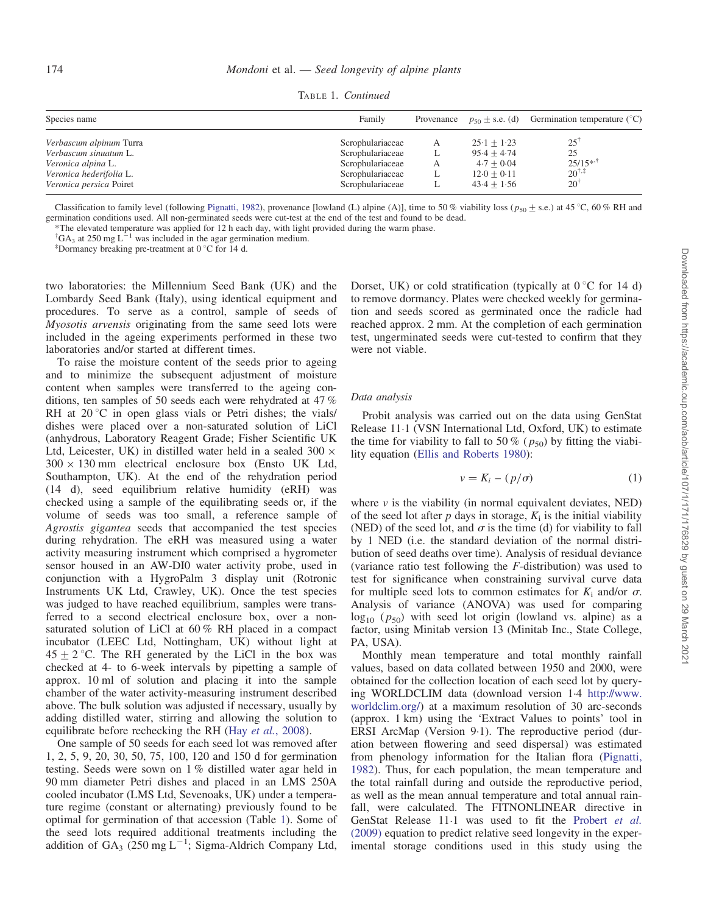TABLE 1. Continued

| Species name                   | Family           |   |               | Provenance $p_{50} \pm$ s.e. (d) Germination temperature (°C) |  |
|--------------------------------|------------------|---|---------------|---------------------------------------------------------------|--|
| <i>Verbascum alpinum</i> Turra | Scrophulariaceae | А | $25.1 + 1.23$ | $25^{\circ}$                                                  |  |
| Verbascum sinuatum L.          | Scrophulariaceae | L | $95.4 + 4.74$ | 25                                                            |  |
| Veronica alpina L.             | Scrophulariaceae | А | $4.7 + 0.04$  | $25/15**$                                                     |  |
| Veronica hederifolia L.        | Scrophulariaceae | L | $12.0 + 0.11$ | $20^{\dagger, \ddagger}$                                      |  |
| Veronica persica Poiret        | Scrophulariaceae |   | $43.4 + 1.56$ | $20^{\dagger}$                                                |  |

Classification to family level (following [Pignatti, 1982\)](#page-8-0), provenance [lowland (L) alpine (A)], time to 50 % viability loss ( $p_{50} \pm$  s.e.) at 45 °C, 60 % RH and germination conditions used. All non-germinated seeds were cut-test at the end of the test and found to be dead.

\*The elevated temperature was applied for 12 h each day, with light provided during the warm phase.

<sup>†</sup>GA<sub>3</sub> at 250 mg L<sup> $\pm$ 1</sup> was included in the agar germination medium.

<sup>‡</sup>Dormancy breaking pre-treatment at  $0^{\circ}$ C for 14 d.

two laboratories: the Millennium Seed Bank (UK) and the Lombardy Seed Bank (Italy), using identical equipment and procedures. To serve as a control, sample of seeds of Myosotis arvensis originating from the same seed lots were included in the ageing experiments performed in these two laboratories and/or started at different times.

To raise the moisture content of the seeds prior to ageing and to minimize the subsequent adjustment of moisture content when samples were transferred to the ageing conditions, ten samples of 50 seeds each were rehydrated at 47 % RH at  $20^{\circ}$ C in open glass vials or Petri dishes; the vials/ dishes were placed over a non-saturated solution of LiCl (anhydrous, Laboratory Reagent Grade; Fisher Scientific UK Ltd, Leicester, UK) in distilled water held in a sealed  $300 \times$  $300 \times 130$  mm electrical enclosure box (Ensto UK Ltd, Southampton, UK). At the end of the rehydration period (14 d), seed equilibrium relative humidity (eRH) was checked using a sample of the equilibrating seeds or, if the volume of seeds was too small, a reference sample of Agrostis gigantea seeds that accompanied the test species during rehydration. The eRH was measured using a water activity measuring instrument which comprised a hygrometer sensor housed in an AW-DI0 water activity probe, used in conjunction with a HygroPalm 3 display unit (Rotronic Instruments UK Ltd, Crawley, UK). Once the test species was judged to have reached equilibrium, samples were transferred to a second electrical enclosure box, over a nonsaturated solution of LiCl at 60 % RH placed in a compact incubator (LEEC Ltd, Nottingham, UK) without light at  $45 + 2$  °C. The RH generated by the LiCl in the box was checked at 4- to 6-week intervals by pipetting a sample of approx. 10 ml of solution and placing it into the sample chamber of the water activity-measuring instrument described above. The bulk solution was adjusted if necessary, usually by adding distilled water, stirring and allowing the solution to equilibrate before rechecking the RH (Hay et al.[, 2008](#page-8-0)).

One sample of 50 seeds for each seed lot was removed after 1, 2, 5, 9, 20, 30, 50, 75, 100, 120 and 150 d for germination testing. Seeds were sown on 1 % distilled water agar held in 90 mm diameter Petri dishes and placed in an LMS 250A cooled incubator (LMS Ltd, Sevenoaks, UK) under a temperature regime (constant or alternating) previously found to be optimal for germination of that accession (Table [1\)](#page-2-0). Some of the seed lots required additional treatments including the addition of  $GA_3$  (250 mg L<sup>-1</sup>; Sigma-Aldrich Company Ltd,

Dorset, UK) or cold stratification (typically at  $0^{\circ}$ C for 14 d) to remove dormancy. Plates were checked weekly for germination and seeds scored as germinated once the radicle had reached approx. 2 mm. At the completion of each germination test, ungerminated seeds were cut-tested to confirm that they were not viable.

#### Data analysis

Probit analysis was carried out on the data using GenStat Release 11.1 (VSN International Ltd, Oxford, UK) to estimate the time for viability to fall to 50 % ( $p_{50}$ ) by fitting the viability equation [\(Ellis and Roberts 1980](#page-8-0)):

$$
v = K_i - (p/\sigma) \tag{1}
$$

where  $\nu$  is the viability (in normal equivalent deviates, NED) of the seed lot after  $p$  days in storage,  $K_i$  is the initial viability (NED) of the seed lot, and  $\sigma$  is the time (d) for viability to fall by 1 NED (i.e. the standard deviation of the normal distribution of seed deaths over time). Analysis of residual deviance (variance ratio test following the F-distribution) was used to test for significance when constraining survival curve data for multiple seed lots to common estimates for  $K_i$  and/or  $\sigma$ . Analysis of variance (ANOVA) was used for comparing  $log_{10}$  ( $p_{50}$ ) with seed lot origin (lowland vs. alpine) as a factor, using Minitab version 13 (Minitab Inc., State College, PA, USA).

Monthly mean temperature and total monthly rainfall values, based on data collated between 1950 and 2000, were obtained for the collection location of each seed lot by querying WORLDCLIM data (download version 1.4 [http://www.](http://www.worldclim.org/) [worldclim.org/\)](http://www.worldclim.org/) at a maximum resolution of 30 arc-seconds (approx. 1 km) using the 'Extract Values to points' tool in ERSI ArcMap (Version 9.1). The reproductive period (duration between flowering and seed dispersal) was estimated from phenology information for the Italian flora [\(Pignatti,](#page-8-0) [1982\)](#page-8-0). Thus, for each population, the mean temperature and the total rainfall during and outside the reproductive period, as well as the mean annual temperature and total annual rainfall, were calculated. The FITNONLINEAR directive in GenStat Release 11.1 was used to fit the [Probert](#page-8-0) et al. [\(2009\)](#page-8-0) equation to predict relative seed longevity in the experimental storage conditions used in this study using the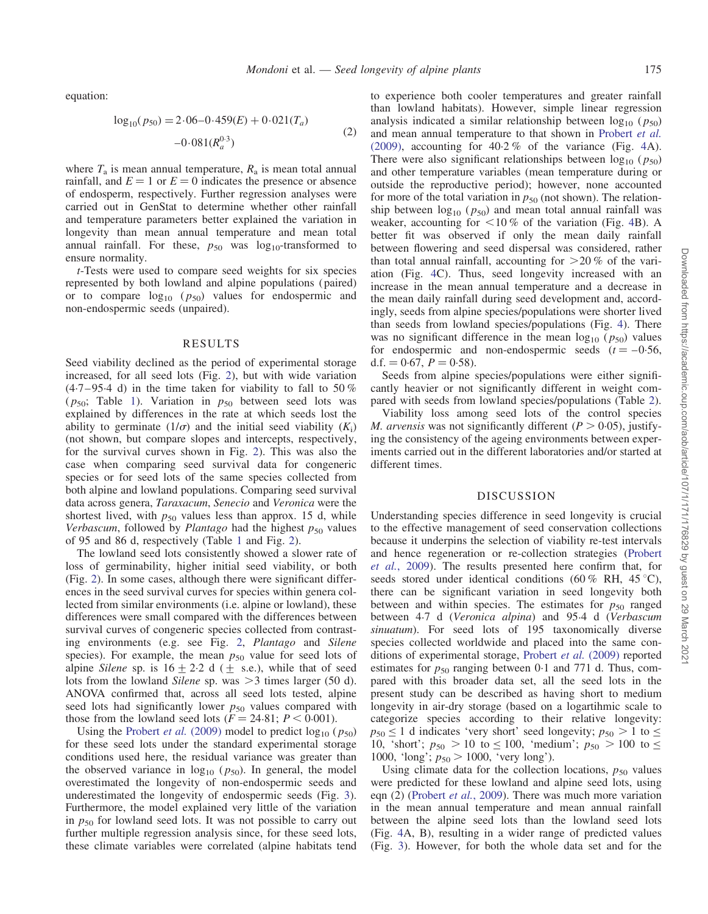equation:

$$
log_{10}(p_{50}) = 2.06 - 0.459(E) + 0.021(T_a)
$$
  
-0.081(R<sub>a</sub><sup>0.3</sup>) (2)

where  $T_a$  is mean annual temperature,  $R_a$  is mean total annual rainfall, and  $E = 1$  or  $E = 0$  indicates the presence or absence of endosperm, respectively. Further regression analyses were carried out in GenStat to determine whether other rainfall and temperature parameters better explained the variation in longevity than mean annual temperature and mean total annual rainfall. For these,  $p_{50}$  was  $log_{10}$ -transformed to ensure normality.

t-Tests were used to compare seed weights for six species represented by both lowland and alpine populations (paired) or to compare  $log_{10}$  ( $p_{50}$ ) values for endospermic and non-endospermic seeds (unpaired).

#### RESULTS

Seed viability declined as the period of experimental storage increased, for all seed lots (Fig. [2](#page-5-0)), but with wide variation  $(4.7-95.4)$  in the time taken for viability to fall to 50% ( $p_{50}$ ; Table [1\)](#page-2-0). Variation in  $p_{50}$  between seed lots was explained by differences in the rate at which seeds lost the ability to germinate  $(1/\sigma)$  and the initial seed viability  $(K_i)$ (not shown, but compare slopes and intercepts, respectively, for the survival curves shown in Fig. [2\)](#page-5-0). This was also the case when comparing seed survival data for congeneric species or for seed lots of the same species collected from both alpine and lowland populations. Comparing seed survival data across genera, Taraxacum, Senecio and Veronica were the shortest lived, with  $p_{50}$  values less than approx. 15 d, while Verbascum, followed by Plantago had the highest  $p_{50}$  values of 95 and 86 d, respectively (Table [1](#page-2-0) and Fig. [2\)](#page-5-0).

The lowland seed lots consistently showed a slower rate of loss of germinability, higher initial seed viability, or both (Fig. [2\)](#page-5-0). In some cases, although there were significant differences in the seed survival curves for species within genera collected from similar environments (i.e. alpine or lowland), these differences were small compared with the differences between survival curves of congeneric species collected from contrasting environments (e.g. see Fig. [2,](#page-5-0) Plantago and Silene species). For example, the mean  $p_{50}$  value for seed lots of alpine Silene sp. is  $16 \pm 2.2$  d ( $\pm$  s.e.), while that of seed lots from the lowland *Silene* sp. was  $>3$  times larger (50 d). ANOVA confirmed that, across all seed lots tested, alpine seed lots had significantly lower  $p_{50}$  values compared with those from the lowland seed lots ( $F = 24.81$ ;  $P < 0.001$ ).

Using the [Probert](#page-8-0) *et al.* (2009) model to predict  $log_{10} (p_{50})$ for these seed lots under the standard experimental storage conditions used here, the residual variance was greater than the observed variance in  $log_{10}$  ( $p_{50}$ ). In general, the model overestimated the longevity of non-endospermic seeds and underestimated the longevity of endospermic seeds (Fig. [3\)](#page-6-0). Furthermore, the model explained very little of the variation in  $p_{50}$  for lowland seed lots. It was not possible to carry out further multiple regression analysis since, for these seed lots, these climate variables were correlated (alpine habitats tend

to experience both cooler temperatures and greater rainfall than lowland habitats). However, simple linear regression analysis indicated a similar relationship between  $log_{10}$  ( $p_{50}$ ) and mean annual temperature to that shown in [Probert](#page-8-0) et al. [\(2009\)](#page-8-0), accounting for  $40.2\%$  of the variance (Fig. [4A](#page-6-0)). There were also significant relationships between  $log_{10}$  ( $p_{50}$ ) and other temperature variables (mean temperature during or outside the reproductive period); however, none accounted for more of the total variation in  $p_{50}$  (not shown). The relationship between  $log_{10} (p_{50})$  and mean total annual rainfall was weaker, accounting for  $\langle 10\%$  of the variation (Fig. [4](#page-6-0)B). A better fit was observed if only the mean daily rainfall between flowering and seed dispersal was considered, rather than total annual rainfall, accounting for  $>20\%$  of the variation (Fig. [4C](#page-6-0)). Thus, seed longevity increased with an increase in the mean annual temperature and a decrease in the mean daily rainfall during seed development and, accordingly, seeds from alpine species/populations were shorter lived than seeds from lowland species/populations (Fig. [4](#page-6-0)). There was no significant difference in the mean  $log_{10}$  ( $p_{50}$ ) values for endospermic and non-endospermic seeds  $(t = -0.56$ , d.f.  $= 0.67, P = 0.58$ .

Seeds from alpine species/populations were either significantly heavier or not significantly different in weight compared with seeds from lowland species/populations (Table [2\)](#page-7-0).

Viability loss among seed lots of the control species *M. arvensis* was not significantly different ( $P > 0.05$ ), justifying the consistency of the ageing environments between experiments carried out in the different laboratories and/or started at different times.

#### DISCUSSION

Understanding species difference in seed longevity is crucial to the effective management of seed conservation collections because it underpins the selection of viability re-test intervals and hence regeneration or re-collection strategies [\(Probert](#page-8-0) et al.[, 2009\)](#page-8-0). The results presented here confirm that, for seeds stored under identical conditions (60 % RH, 45 °C), there can be significant variation in seed longevity both between and within species. The estimates for  $p_{50}$  ranged between 4.7 d (Veronica alpina) and 95.4 d (Verbascum sinuatum). For seed lots of 195 taxonomically diverse species collected worldwide and placed into the same conditions of experimental storage, [Probert](#page-8-0) et al. (2009) reported estimates for  $p_{50}$  ranging between 0.1 and 771 d. Thus, compared with this broader data set, all the seed lots in the present study can be described as having short to medium longevity in air-dry storage (based on a logartihmic scale to categorize species according to their relative longevity:  $p_{50} \le 1$  d indicates 'very short' seed longevity;  $p_{50} > 1$  to  $\le$ 10, 'short';  $p_{50} > 10$  to  $\leq 100$ , 'medium';  $p_{50} > 100$  to  $\leq$ 1000, 'long';  $p_{50} > 1000$ , 'very long').

Using climate data for the collection locations,  $p_{50}$  values were predicted for these lowland and alpine seed lots, using eqn (2) [\(Probert](#page-8-0) et al., 2009). There was much more variation in the mean annual temperature and mean annual rainfall between the alpine seed lots than the lowland seed lots (Fig. [4](#page-6-0)A, B), resulting in a wider range of predicted values (Fig. [3\)](#page-6-0). However, for both the whole data set and for the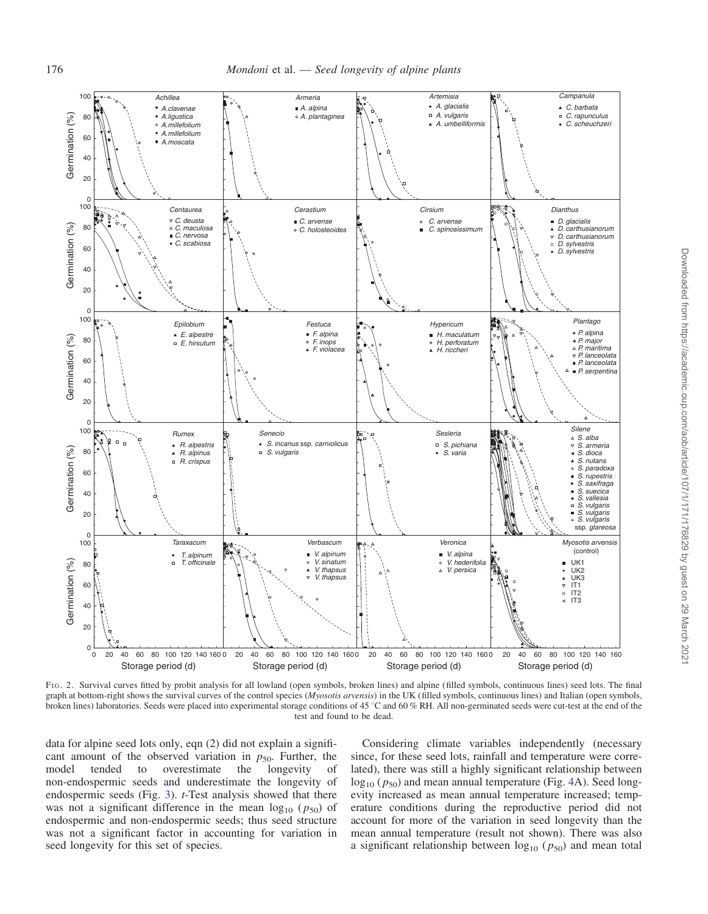<span id="page-5-0"></span>

FIG. 2. Survival curves fitted by probit analysis for all lowland (open symbols, broken lines) and alpine (filled symbols, continuous lines) seed lots. The final graph at bottom-right shows the survival curves of the control species (*Myosotis arvensis*) in the UK (filled symbols, continuous lines) and Italian (open symbols, broken lines) laboratories. Seeds were placed into experimental storage conditions of 45  $\degree$ C and 60  $\%$  RH. All non-germinated seeds were cut-test at the end of the test and found to be dead.

data for alpine seed lots only, eqn (2) did not explain a significant amount of the observed variation in  $p_{50}$ . Further, the model tended to overestimate the longevity of overestimate the longevity of non-endospermic seeds and underestimate the longevity of endospermic seeds (Fig. [3\)](#page-6-0). t-Test analysis showed that there was not a significant difference in the mean  $log_{10}$  ( $p_{50}$ ) of endospermic and non-endospermic seeds; thus seed structure was not a significant factor in accounting for variation in seed longevity for this set of species.

Considering climate variables independently (necessary since, for these seed lots, rainfall and temperature were correlated), there was still a highly significant relationship between  $log_{10} (p_{50})$  and mean annual temperature (Fig. [4A](#page-6-0)). Seed longevity increased as mean annual temperature increased; temperature conditions during the reproductive period did not account for more of the variation in seed longevity than the mean annual temperature (result not shown). There was also a significant relationship between  $log_{10}$  ( $p_{50}$ ) and mean total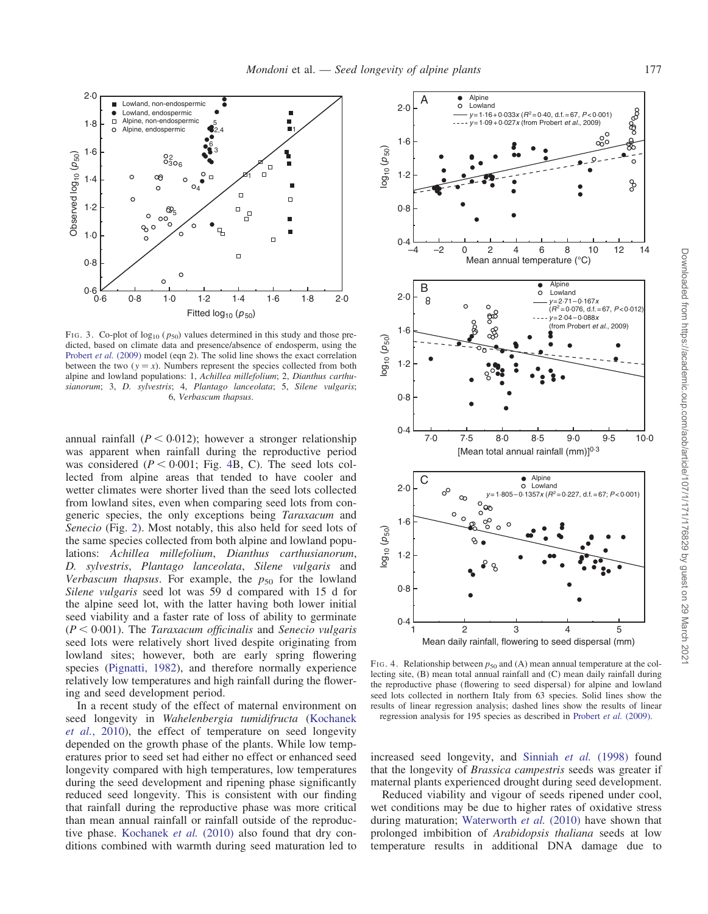<span id="page-6-0"></span>

F1G. 3. Co-plot of  $log_{10}$  ( $p_{50}$ ) values determined in this study and those predicted, based on climate data and presence/absence of endosperm, using the [Probert](#page-8-0) et al. (2009) model (eqn 2). The solid line shows the exact correlation between the two ( $y = x$ ). Numbers represent the species collected from both alpine and lowland populations: 1, Achillea millefolium; 2, Dianthus carthusianorum; 3, D. sylvestris; 4, Plantago lanceolata; 5, Silene vulgaris; 6, Verbascum thapsus.

annual rainfall  $(P < 0.012)$ ; however a stronger relationship was apparent when rainfall during the reproductive period was considered ( $P < 0.001$ ; Fig. 4B, C). The seed lots collected from alpine areas that tended to have cooler and wetter climates were shorter lived than the seed lots collected from lowland sites, even when comparing seed lots from congeneric species, the only exceptions being Taraxacum and Senecio (Fig. [2\)](#page-5-0). Most notably, this also held for seed lots of the same species collected from both alpine and lowland populations: Achillea millefolium, Dianthus carthusianorum, D. sylvestris, Plantago lanceolata, Silene vulgaris and Verbascum thapsus. For example, the  $p_{50}$  for the lowland Silene vulgaris seed lot was 59 d compared with 15 d for the alpine seed lot, with the latter having both lower initial seed viability and a faster rate of loss of ability to germinate  $(P < 0.001)$ . The Taraxacum officinalis and Senecio vulgaris seed lots were relatively short lived despite originating from lowland sites; however, both are early spring flowering species [\(Pignatti, 1982\)](#page-8-0), and therefore normally experience relatively low temperatures and high rainfall during the flowering and seed development period.

In a recent study of the effect of maternal environment on seed longevity in Wahelenbergia tumidifructa [\(Kochanek](#page-8-0) et al.[, 2010\)](#page-8-0), the effect of temperature on seed longevity depended on the growth phase of the plants. While low temperatures prior to seed set had either no effect or enhanced seed longevity compared with high temperatures, low temperatures during the seed development and ripening phase significantly reduced seed longevity. This is consistent with our finding that rainfall during the reproductive phase was more critical than mean annual rainfall or rainfall outside of the reproduc-tive phase. [Kochanek](#page-8-0) et al. (2010) also found that dry conditions combined with warmth during seed maturation led to



F<sub>IG</sub>. 4. Relationship between  $p_{50}$  and (A) mean annual temperature at the collecting site, (B) mean total annual rainfall and (C) mean daily rainfall during the reproductive phase (flowering to seed dispersal) for alpine and lowland seed lots collected in northern Italy from 63 species. Solid lines show the results of linear regression analysis; dashed lines show the results of linear regression analysis for 195 species as described in [Probert](#page-8-0) et al. (2009).

increased seed longevity, and [Sinniah](#page-8-0) et al. (1998) found that the longevity of Brassica campestris seeds was greater if maternal plants experienced drought during seed development.

Reduced viability and vigour of seeds ripened under cool, wet conditions may be due to higher rates of oxidative stress during maturation; [Waterworth](#page-8-0) et al. (2010) have shown that prolonged imbibition of Arabidopsis thaliana seeds at low temperature results in additional DNA damage due to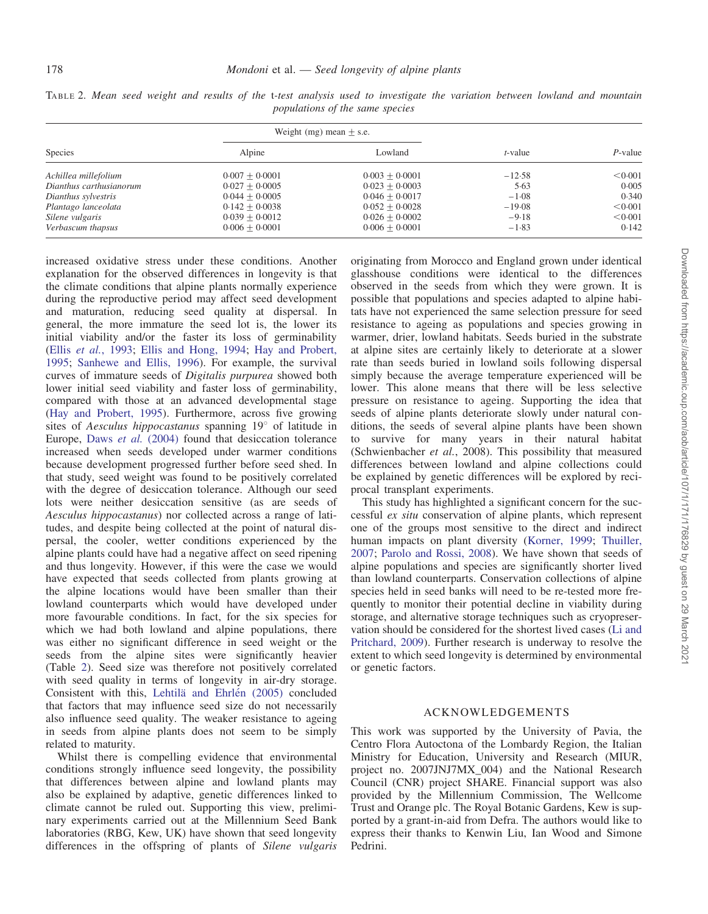## <span id="page-7-0"></span>178 Mondoni et al. — Seed longevity of alpine plants

|                         | Weight (mg) mean $\pm$ s.e. |                  |                 |            |
|-------------------------|-----------------------------|------------------|-----------------|------------|
| <b>Species</b>          | Alpine                      | Lowland          | <i>t</i> -value | $P$ -value |
| Achillea millefolium    | $0.007 + 0.0001$            | $0.003 + 0.0001$ | $-12.58$        | < 0.001    |
| Dianthus carthusianorum | $0.027 + 0.0005$            | $0.023 + 0.0003$ | 5.63            | 0.005      |
| Dianthus sylvestris     | $0.044 + 0.0005$            | $0.046 + 0.0017$ | $-1.08$         | 0.340      |
| Plantago lanceolata     | $0.142 + 0.0038$            | $0.052 + 0.0028$ | $-19.08$        | < 0.001    |
| Silene vulgaris         | $0.039 + 0.0012$            | $0.026 + 0.0002$ | $-9.18$         | < 0.001    |
| Verbascum thapsus       | $0.006 + 0.0001$            | $0.006 + 0.0001$ | $-1.83$         | 0.142      |

TABLE 2. Mean seed weight and results of the t-test analysis used to investigate the variation between lowland and mountain populations of the same species

increased oxidative stress under these conditions. Another explanation for the observed differences in longevity is that the climate conditions that alpine plants normally experience during the reproductive period may affect seed development and maturation, reducing seed quality at dispersal. In general, the more immature the seed lot is, the lower its initial viability and/or the faster its loss of germinability (Ellis et al.[, 1993;](#page-8-0) [Ellis and Hong, 1994;](#page-8-0) [Hay and Probert,](#page-8-0) [1995;](#page-8-0) [Sanhewe and Ellis, 1996](#page-8-0)). For example, the survival curves of immature seeds of Digitalis purpurea showed both lower initial seed viability and faster loss of germinability, compared with those at an advanced developmental stage ([Hay and Probert, 1995\)](#page-8-0). Furthermore, across five growing sites of Aesculus hippocastanus spanning  $19^{\circ}$  of latitude in Europe, Daws et al. [\(2004\)](#page-8-0) found that desiccation tolerance increased when seeds developed under warmer conditions because development progressed further before seed shed. In that study, seed weight was found to be positively correlated with the degree of desiccation tolerance. Although our seed lots were neither desiccation sensitive (as are seeds of Aesculus hippocastanus) nor collected across a range of latitudes, and despite being collected at the point of natural dispersal, the cooler, wetter conditions experienced by the alpine plants could have had a negative affect on seed ripening and thus longevity. However, if this were the case we would have expected that seeds collected from plants growing at the alpine locations would have been smaller than their lowland counterparts which would have developed under more favourable conditions. In fact, for the six species for which we had both lowland and alpine populations, there was either no significant difference in seed weight or the seeds from the alpine sites were significantly heavier (Table 2). Seed size was therefore not positively correlated with seed quality in terms of longevity in air-dry storage. Consistent with this, Lehtilä and Ehrlén (2005) concluded that factors that may influence seed size do not necessarily also influence seed quality. The weaker resistance to ageing in seeds from alpine plants does not seem to be simply related to maturity.

Whilst there is compelling evidence that environmental conditions strongly influence seed longevity, the possibility that differences between alpine and lowland plants may also be explained by adaptive, genetic differences linked to climate cannot be ruled out. Supporting this view, preliminary experiments carried out at the Millennium Seed Bank laboratories (RBG, Kew, UK) have shown that seed longevity differences in the offspring of plants of Silene vulgaris originating from Morocco and England grown under identical glasshouse conditions were identical to the differences observed in the seeds from which they were grown. It is possible that populations and species adapted to alpine habitats have not experienced the same selection pressure for seed resistance to ageing as populations and species growing in warmer, drier, lowland habitats. Seeds buried in the substrate at alpine sites are certainly likely to deteriorate at a slower rate than seeds buried in lowland soils following dispersal simply because the average temperature experienced will be lower. This alone means that there will be less selective pressure on resistance to ageing. Supporting the idea that seeds of alpine plants deteriorate slowly under natural conditions, the seeds of several alpine plants have been shown to survive for many years in their natural habitat (Schwienbacher et al., 2008). This possibility that measured differences between lowland and alpine collections could be explained by genetic differences will be explored by reciprocal transplant experiments.

This study has highlighted a significant concern for the successful ex situ conservation of alpine plants, which represent one of the groups most sensitive to the direct and indirect human impacts on plant diversity [\(Korner, 1999;](#page-8-0) [Thuiller,](#page-8-0) [2007;](#page-8-0) [Parolo and Rossi, 2008](#page-8-0)). We have shown that seeds of alpine populations and species are significantly shorter lived than lowland counterparts. Conservation collections of alpine species held in seed banks will need to be re-tested more frequently to monitor their potential decline in viability during storage, and alternative storage techniques such as cryopreservation should be considered for the shortest lived cases ([Li and](#page-8-0) [Pritchard, 2009\)](#page-8-0). Further research is underway to resolve the extent to which seed longevity is determined by environmental or genetic factors.

#### ACKNOWLEDGEMENTS

This work was supported by the University of Pavia, the Centro Flora Autoctona of the Lombardy Region, the Italian Ministry for Education, University and Research (MIUR, project no. 2007JNJ7MX\_004) and the National Research Council (CNR) project SHARE. Financial support was also provided by the Millennium Commission, The Wellcome Trust and Orange plc. The Royal Botanic Gardens, Kew is supported by a grant-in-aid from Defra. The authors would like to express their thanks to Kenwin Liu, Ian Wood and Simone Pedrini.